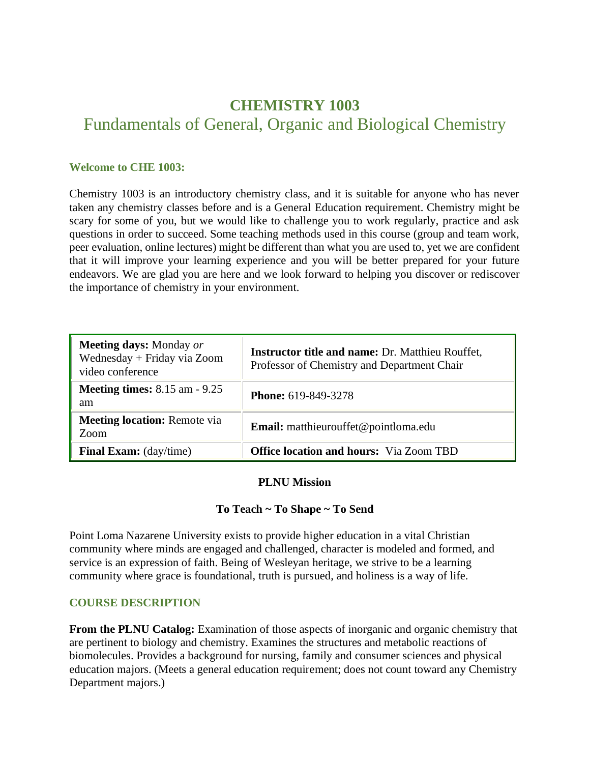# **CHEMISTRY 1003**  Fundamentals of General, Organic and Biological Chemistry

#### **Welcome to CHE 1003:**

Chemistry 1003 is an introductory chemistry class, and it is suitable for anyone who has never taken any chemistry classes before and is a General Education requirement. Chemistry might be scary for some of you, but we would like to challenge you to work regularly, practice and ask questions in order to succeed. Some teaching methods used in this course (group and team work, peer evaluation, online lectures) might be different than what you are used to, yet we are confident that it will improve your learning experience and you will be better prepared for your future endeavors. We are glad you are here and we look forward to helping you discover or rediscover the importance of chemistry in your environment.

| <b>Meeting days:</b> Monday or<br>Wednesday + Friday via Zoom<br>video conference | <b>Instructor title and name: Dr. Matthieu Rouffet,</b><br>Professor of Chemistry and Department Chair |
|-----------------------------------------------------------------------------------|--------------------------------------------------------------------------------------------------------|
| <b>Meeting times:</b> 8.15 am - 9.25<br>am                                        | <b>Phone: 619-849-3278</b>                                                                             |
| <b>Meeting location:</b> Remote via<br>Zoom                                       | <b>Email:</b> matthieurouffet@pointloma.edu                                                            |
| <b>Final Exam:</b> (day/time)                                                     | <b>Office location and hours:</b> Via Zoom TBD                                                         |

#### **PLNU Mission**

## **To Teach ~ To Shape ~ To Send**

Point Loma Nazarene University exists to provide higher education in a vital Christian community where minds are engaged and challenged, character is modeled and formed, and service is an expression of faith. Being of Wesleyan heritage, we strive to be a learning community where grace is foundational, truth is pursued, and holiness is a way of life.

## **COURSE DESCRIPTION**

**From the PLNU Catalog:** Examination of those aspects of inorganic and organic chemistry that are pertinent to biology and chemistry. Examines the structures and metabolic reactions of biomolecules. Provides a background for nursing, family and consumer sciences and physical education majors. (Meets a general education requirement; does not count toward any Chemistry Department majors.)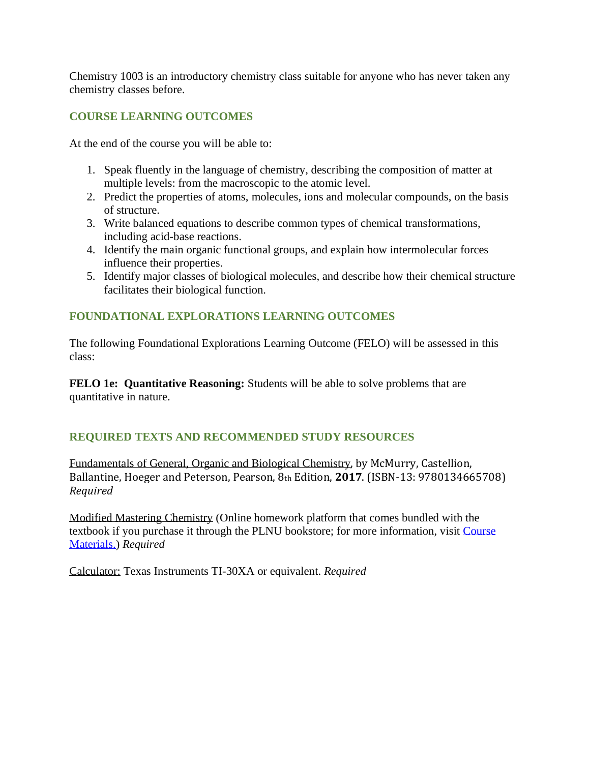Chemistry 1003 is an introductory chemistry class suitable for anyone who has never taken any chemistry classes before.

## **COURSE LEARNING OUTCOMES**

At the end of the course you will be able to:

- 1. Speak fluently in the language of chemistry, describing the composition of matter at multiple levels: from the macroscopic to the atomic level.
- 2. Predict the properties of atoms, molecules, ions and molecular compounds, on the basis of structure.
- 3. Write balanced equations to describe common types of chemical transformations, including acid-base reactions.
- 4. Identify the main organic functional groups, and explain how intermolecular forces influence their properties.
- 5. Identify major classes of biological molecules, and describe how their chemical structure facilitates their biological function.

## **FOUNDATIONAL EXPLORATIONS LEARNING OUTCOMES**

The following Foundational Explorations Learning Outcome (FELO) will be assessed in this class:

**FELO 1e: Quantitative Reasoning:** Students will be able to solve problems that are quantitative in nature.

# **REQUIRED TEXTS AND RECOMMENDED STUDY RESOURCES**

Fundamentals of General, Organic and Biological Chemistry, by McMurry, Castellion, Ballantine, Hoeger and Peterson, Pearson, 8th Edition, **2017**. (ISBN-13: 9780134665708) *Required*

Modified Mastering Chemistry (Online homework platform that comes bundled with the textbook if you purchase it through the PLNU bookstore; for more information, visit [Course](file://///courses/51667/pages/course-materials)  [Materials.\)](file://///courses/51667/pages/course-materials) *Required*

Calculator: Texas Instruments TI-30XA or equivalent. *Required*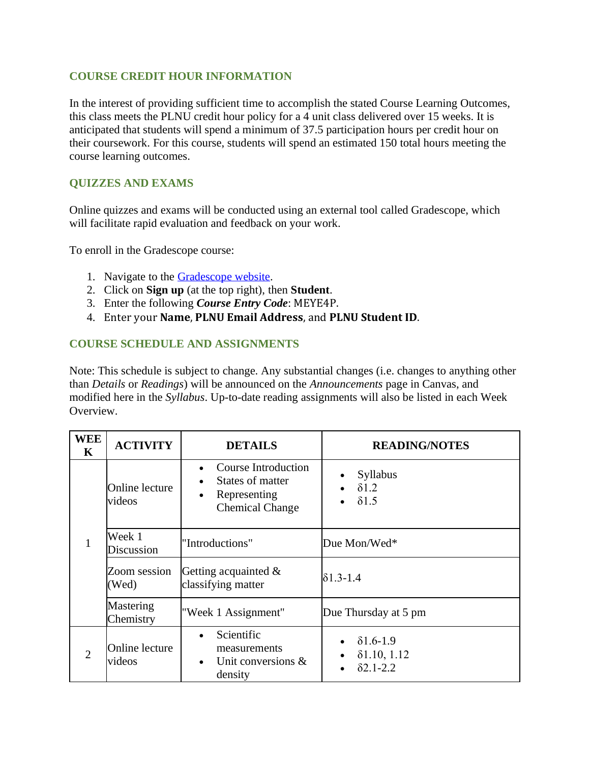#### **COURSE CREDIT HOUR INFORMATION**

In the interest of providing sufficient time to accomplish the stated Course Learning Outcomes, this class meets the PLNU credit hour policy for a 4 unit class delivered over 15 weeks. It is anticipated that students will spend a minimum of 37.5 participation hours per credit hour on their coursework. For this course, students will spend an estimated 150 total hours meeting the course learning outcomes.

#### **QUIZZES AND EXAMS**

Online quizzes and exams will be conducted using an external tool called Gradescope, which will facilitate rapid evaluation and feedback on your work.

To enroll in the Gradescope course:

- 1. Navigate to the [Gradescope website.](https://www.gradescope.com/)
- 2. Click on **Sign up** (at the top right), then **Student**.
- 3. Enter the following *Course Entry Code*: MEYE4P.
- 4. Enter your **Name**, **PLNU Email Address**, and **PLNU Student ID**.

#### **COURSE SCHEDULE AND ASSIGNMENTS**

Note: This schedule is subject to change. Any substantial changes (i.e. changes to anything other than *Details* or *Readings*) will be announced on the *Announcements* page in Canvas, and modified here in the *Syllabus*. Up-to-date reading assignments will also be listed in each Week Overview.

| <b>WEE</b><br>$\mathbf K$ | <b>ACTIVITY</b>                                                                                         | <b>DETAILS</b>                                                                                                     | <b>READING/NOTES</b>                                        |  |
|---------------------------|---------------------------------------------------------------------------------------------------------|--------------------------------------------------------------------------------------------------------------------|-------------------------------------------------------------|--|
| 1                         | Online lecture<br>videos                                                                                | <b>Course Introduction</b><br>States of matter<br>$\bullet$<br>Representing<br>$\bullet$<br><b>Chemical Change</b> | Syllabus<br>$\delta$ 1.2<br>$\delta$ 1.5                    |  |
|                           | Week 1<br>Discussion                                                                                    | "Introductions"                                                                                                    | Due Mon/Wed*                                                |  |
|                           | Zoom session<br>(Wed)                                                                                   | Getting acquainted $\&$<br>classifying matter                                                                      | $\delta$ 1.3-1.4                                            |  |
|                           | Mastering<br>Chemistry                                                                                  | "Week 1 Assignment"                                                                                                | Due Thursday at 5 pm                                        |  |
| $\overline{2}$            | Scientific<br>Online lecture<br>measurements<br>videos<br>Unit conversions $\&$<br>$\bullet$<br>density |                                                                                                                    | $\delta$ 1.6-1.9<br>$\delta$ 1.10, 1.12<br>$\delta$ 2.1-2.2 |  |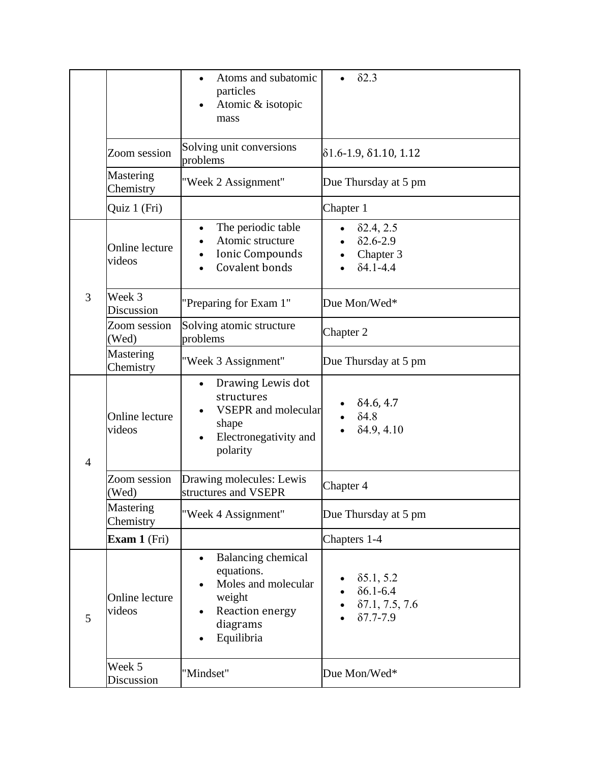|                |                          | Atoms and subatomic<br>particles<br>Atomic & isotopic<br>mass                                                                      | $\delta$ 2.3                                                                        |  |
|----------------|--------------------------|------------------------------------------------------------------------------------------------------------------------------------|-------------------------------------------------------------------------------------|--|
|                | Zoom session             | Solving unit conversions<br>problems                                                                                               | $\delta$ 1.6-1.9, $\delta$ 1.10, 1.12                                               |  |
|                | Mastering<br>Chemistry   | "Week 2 Assignment"                                                                                                                | Due Thursday at 5 pm                                                                |  |
|                | Quiz 1 (Fri)             |                                                                                                                                    | Chapter 1                                                                           |  |
|                | Online lecture<br>videos | The periodic table<br>$\bullet$<br>Atomic structure<br>Ionic Compounds<br>Covalent bonds                                           | $\delta$ 2.4, 2.5<br>$\bullet$<br>$\delta$ 2.6-2.9<br>Chapter 3<br>$\delta$ 4.1-4.4 |  |
| 3              | Week 3<br>Discussion     | "Preparing for Exam 1"                                                                                                             | Due Mon/Wed*                                                                        |  |
|                | Zoom session<br>(Wed)    | Solving atomic structure<br>problems                                                                                               | Chapter 2                                                                           |  |
|                | Mastering<br>Chemistry   | "Week 3 Assignment"                                                                                                                | Due Thursday at 5 pm                                                                |  |
| $\overline{4}$ | Online lecture<br>videos | Drawing Lewis dot<br>structures<br><b>VSEPR</b> and molecular<br>shape<br>Electronegativity and<br>polarity                        | $\delta$ 4.6, 4.7<br>$\delta$ 4.8<br>$\delta$ 4.9, 4.10                             |  |
|                | Zoom session<br>(Wed)    | Drawing molecules: Lewis<br>structures and VSEPR                                                                                   | Chapter 4                                                                           |  |
|                | Mastering<br>Chemistry   | "Week 4 Assignment"                                                                                                                | Due Thursday at 5 pm                                                                |  |
|                | <b>Exam 1</b> (Fri)      |                                                                                                                                    | Chapters 1-4                                                                        |  |
| 5              | Online lecture<br>videos | <b>Balancing chemical</b><br>equations.<br>Moles and molecular<br>weight<br>Reaction energy<br>diagrams<br>Equilibria<br>$\bullet$ | $\delta$ 5.1, 5.2<br>$\delta$ 6.1-6.4<br>87.1, 7.5, 7.6<br>$87.7 - 7.9$             |  |
|                | Week 5<br>Discussion     | "Mindset"                                                                                                                          | Due Mon/Wed*                                                                        |  |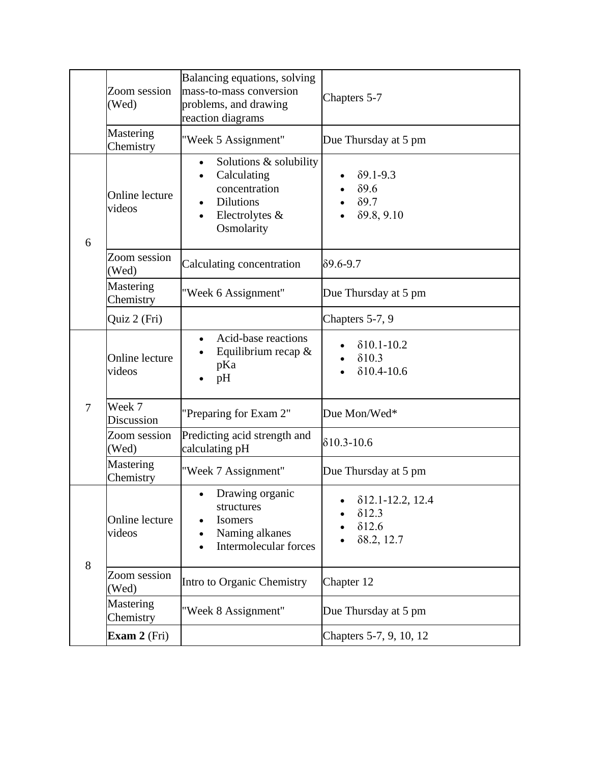|                        | Zoom session<br>(Wed)    | Balancing equations, solving<br>mass-to-mass conversion<br>problems, and drawing<br>reaction diagrams                                | Chapters 5-7                                                                     |  |
|------------------------|--------------------------|--------------------------------------------------------------------------------------------------------------------------------------|----------------------------------------------------------------------------------|--|
| Mastering<br>Chemistry |                          | "Week 5 Assignment"                                                                                                                  | Due Thursday at 5 pm                                                             |  |
| 6                      | Online lecture<br>videos | Solutions & solubility<br>$\bullet$<br>Calculating<br>$\bullet$<br>concentration<br><b>Dilutions</b><br>Electrolytes &<br>Osmolarity | $\delta$ 9.1-9.3<br>$\delta$ 9.6<br>$\delta$ 9.7<br>89.8, 9.10                   |  |
|                        | Zoom session<br>(Wed)    | Calculating concentration                                                                                                            | $\delta$ 9.6-9.7                                                                 |  |
|                        | Mastering<br>Chemistry   | "Week 6 Assignment"                                                                                                                  | Due Thursday at 5 pm                                                             |  |
|                        | Quiz 2 (Fri)             |                                                                                                                                      | Chapters 5-7, 9                                                                  |  |
|                        | Online lecture<br>videos | Acid-base reactions<br>$\bullet$<br>Equilibrium recap $\&$<br>pKa<br>pH                                                              | $\delta$ 10.1-10.2<br>$\delta$ 10.3<br>$\delta$ 10.4-10.6                        |  |
| $\overline{7}$         | Week 7<br>Discussion     | "Preparing for Exam 2"                                                                                                               | Due Mon/Wed*                                                                     |  |
|                        | Zoom session<br>(Wed)    | Predicting acid strength and<br>calculating pH                                                                                       | $\delta$ 10.3-10.6                                                               |  |
|                        | Mastering<br>Chemistry   | "Week 7 Assignment"                                                                                                                  | Due Thursday at 5 pm                                                             |  |
| 8                      | Online lecture<br>videos | Drawing organic<br>$\bullet$<br>structures<br>Isomers<br>Naming alkanes<br>$\bullet$<br>Intermolecular forces                        | $\delta$ 12.1-12.2, 12.4<br>$\delta$ 12.3<br>$\delta$ 12.6<br>$\delta$ 8.2, 12.7 |  |
|                        | Zoom session<br>Wed)     | Intro to Organic Chemistry                                                                                                           | Chapter 12                                                                       |  |
|                        | Mastering<br>Chemistry   | "Week 8 Assignment"                                                                                                                  | Due Thursday at 5 pm                                                             |  |
|                        | Exam $2$ (Fri)           |                                                                                                                                      | Chapters 5-7, 9, 10, 12                                                          |  |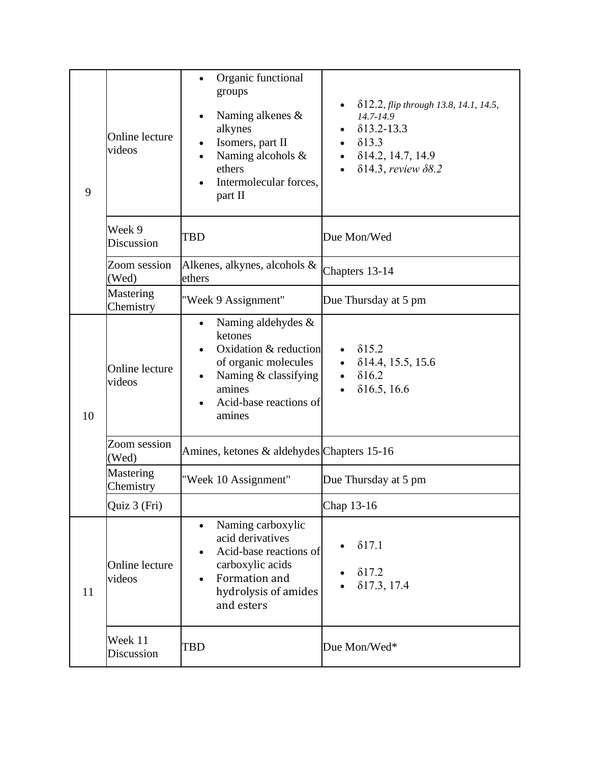| 9  | Online lecture<br>videos | Organic functional<br>groups<br>Naming alkenes &<br>alkynes<br>Isomers, part II<br>Naming alcohols &<br>ethers<br>Intermolecular forces,<br>part II                  | δ12.2, <i>flip through 13.8, 14.1, 14.5</i> ,<br>$14.7 - 14.9$<br>$\delta$ 13.2-13.3<br>$\delta$ 13.3<br>$\bullet$<br>814.2, 14.7, 14.9<br>$\delta$ 14.3, review $\delta$ 8.2 |  |
|----|--------------------------|----------------------------------------------------------------------------------------------------------------------------------------------------------------------|-------------------------------------------------------------------------------------------------------------------------------------------------------------------------------|--|
|    | Week 9<br>Discussion     | TBD                                                                                                                                                                  | Due Mon/Wed                                                                                                                                                                   |  |
|    | Zoom session<br>(Wed)    | Alkenes, alkynes, alcohols &<br>ethers                                                                                                                               | Chapters 13-14                                                                                                                                                                |  |
|    | Mastering<br>Chemistry   | "Week 9 Assignment"                                                                                                                                                  | Due Thursday at 5 pm                                                                                                                                                          |  |
| 10 | Online lecture<br>videos | Naming aldehydes &<br>$\bullet$<br>ketones<br>Oxidation & reduction<br>of organic molecules<br>Naming & classifying<br>amines<br>Acid-base reactions of<br>amines    | $\delta$ 15.2<br>$\delta$ 14.4, 15.5, 15.6<br>$\delta$ 16.2<br>$\delta$ 16.5, 16.6                                                                                            |  |
|    | Zoom session<br>(Wed)    | Amines, ketones & aldehydes Chapters 15-16                                                                                                                           |                                                                                                                                                                               |  |
|    | Mastering<br>Chemistry   | "Week 10 Assignment"                                                                                                                                                 | Due Thursday at 5 pm                                                                                                                                                          |  |
|    | Quiz 3 (Fri)             |                                                                                                                                                                      | Chap 13-16                                                                                                                                                                    |  |
| 11 | Online lecture<br>videos | Naming carboxylic<br>$\bullet$<br>acid derivatives<br>Acid-base reactions of<br>carboxylic acids<br>Formation and<br>$\bullet$<br>hydrolysis of amides<br>and esters | $\delta$ 17.1<br>$\delta$ 17.2<br>$\delta$ 17.3, 17.4                                                                                                                         |  |
|    | Week 11<br>Discussion    | TBD                                                                                                                                                                  | Due Mon/Wed*                                                                                                                                                                  |  |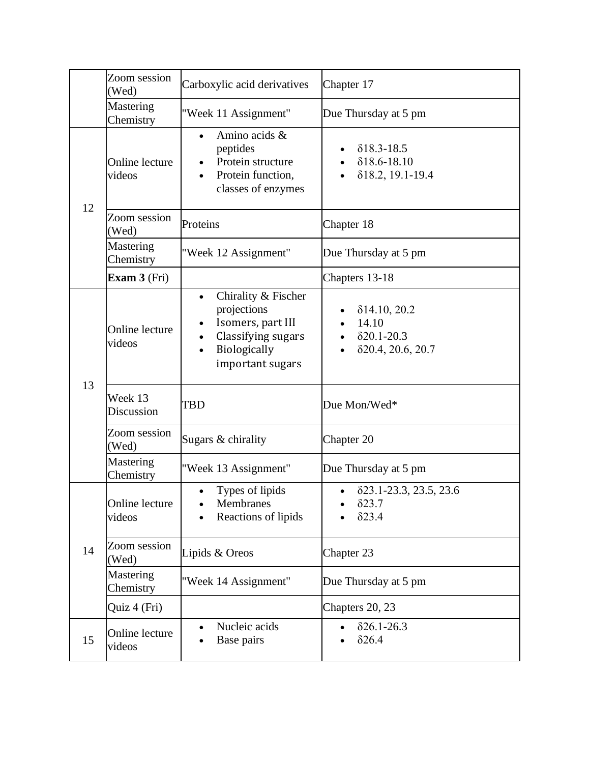|                        | Zoom session<br>(Wed)    | Carboxylic acid derivatives                                                                                                                      | Chapter 17                                                               |  |
|------------------------|--------------------------|--------------------------------------------------------------------------------------------------------------------------------------------------|--------------------------------------------------------------------------|--|
| Mastering<br>Chemistry |                          | "Week 11 Assignment"                                                                                                                             | Due Thursday at 5 pm                                                     |  |
|                        | Online lecture<br>videos | Amino acids &<br>peptides<br>Protein structure<br>Protein function,<br>classes of enzymes                                                        | $\delta$ 18.3-18.5<br>$\delta$ 18.6-18.10<br>818.2, 19.1-19.4            |  |
| 12                     | Zoom session<br>(Wed)    | Proteins                                                                                                                                         | Chapter 18                                                               |  |
|                        | Mastering<br>Chemistry   | "Week 12 Assignment"                                                                                                                             | Due Thursday at 5 pm                                                     |  |
|                        | Exam $3$ (Fri)           |                                                                                                                                                  | Chapters 13-18                                                           |  |
|                        | Online lecture<br>videos | Chirality & Fischer<br>$\bullet$<br>projections<br>Isomers, part III<br>٠<br>Classifying sugars<br>$\bullet$<br>Biologically<br>important sugars | $\delta$ 14.10, 20.2<br>14.10<br>$\delta$ 20.1-20.3<br>820.4, 20.6, 20.7 |  |
| 13                     | Week 13<br>Discussion    | TBD                                                                                                                                              | Due Mon/Wed*                                                             |  |
|                        | Zoom session<br>(Wed)    | Sugars & chirality                                                                                                                               | Chapter 20                                                               |  |
|                        | Mastering<br>Chemistry   | "Week 13 Assignment"                                                                                                                             | Due Thursday at 5 pm                                                     |  |
| 14                     | Online lecture<br>videos | Types of lipids<br>$\bullet$<br>Membranes<br>Reactions of lipids                                                                                 | 823.1-23.3, 23.5, 23.6<br>$\bullet$<br>$\delta$ 23.7<br>$\delta$ 23.4    |  |
|                        | Zoom session<br>(Wed)    | Lipids & Oreos                                                                                                                                   | Chapter 23                                                               |  |
|                        | Mastering<br>Chemistry   | "Week 14 Assignment"                                                                                                                             | Due Thursday at 5 pm                                                     |  |
|                        | Quiz 4 (Fri)             |                                                                                                                                                  | Chapters 20, 23                                                          |  |
| 15                     | Online lecture<br>videos | Nucleic acids<br>Base pairs                                                                                                                      | $\delta$ 26.1-26.3<br>$\delta$ 26.4                                      |  |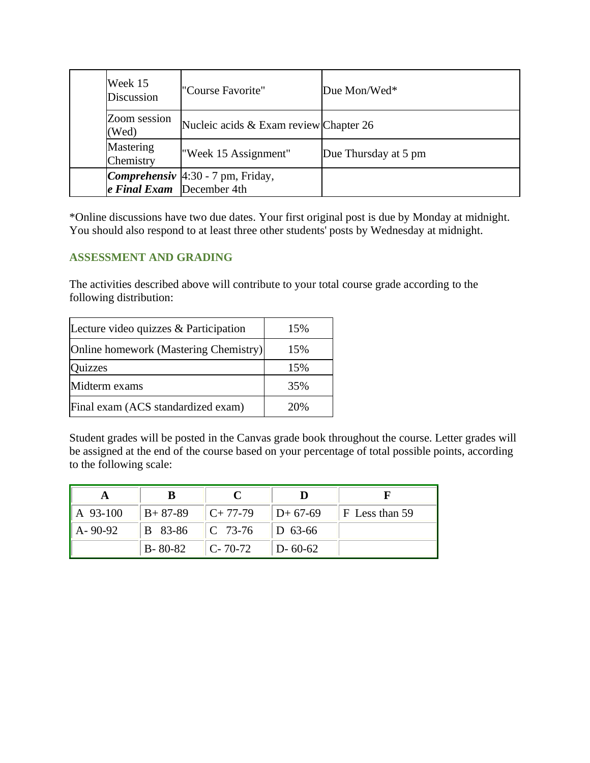|                       | Week 15<br>Discussion       | l"Course Favorite"                         | Due Mon/Wed $*$      |
|-----------------------|-----------------------------|--------------------------------------------|----------------------|
| Zoom session<br>(Wed) |                             | Nucleic acids & Exam review Chapter 26     |                      |
|                       | Mastering<br>Chemistry      | "Week 15 Assignment"                       | Due Thursday at 5 pm |
|                       | $e$ Final Exam December 4th | <i>Comprehensiv</i> $4:30 - 7$ pm, Friday, |                      |

\*Online discussions have two due dates. Your first original post is due by Monday at midnight. You should also respond to at least three other students' posts by Wednesday at midnight.

## **ASSESSMENT AND GRADING**

The activities described above will contribute to your total course grade according to the following distribution:

| Lecture video quizzes & Participation | 15% |
|---------------------------------------|-----|
| Online homework (Mastering Chemistry) | 15% |
| Quizzes                               | 15% |
| Midterm exams                         | 35% |
| Final exam (ACS standardized exam)    | 20% |

Student grades will be posted in the Canvas grade book throughout the course. Letter grades will be assigned at the end of the course based on your percentage of total possible points, according to the following scale:

| $ A\ 93-100\rangle$ |               |                               |                      | $  B+ 87-89   C+ 77-79   D+ 67-69   F$ Less than 59 |
|---------------------|---------------|-------------------------------|----------------------|-----------------------------------------------------|
| $A - 90 - 92$       |               | B 83-86   C 73-76   D 63-66   |                      |                                                     |
|                     | $B - 80 - 82$ | $\lfloor C - 70 - 72 \rfloor$ | $\parallel$ D- 60-62 |                                                     |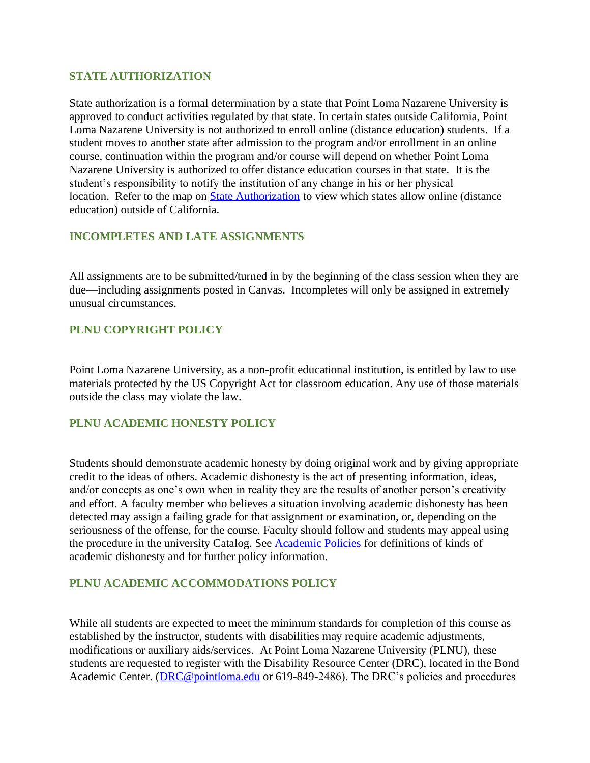#### **STATE AUTHORIZATION**

State authorization is a formal determination by a state that Point Loma Nazarene University is approved to conduct activities regulated by that state. In certain states outside California, Point Loma Nazarene University is not authorized to enroll online (distance education) students. If a student moves to another state after admission to the program and/or enrollment in an online course, continuation within the program and/or course will depend on whether Point Loma Nazarene University is authorized to offer distance education courses in that state. It is the student's responsibility to notify the institution of any change in his or her physical location. Refer to the map on **State Authorization** to view which states allow online (distance education) outside of California.

#### **INCOMPLETES AND LATE ASSIGNMENTS**

All assignments are to be submitted/turned in by the beginning of the class session when they are due—including assignments posted in Canvas. Incompletes will only be assigned in extremely unusual circumstances.

## **PLNU COPYRIGHT POLICY**

Point Loma Nazarene University, as a non-profit educational institution, is entitled by law to use materials protected by the US Copyright Act for classroom education. Any use of those materials outside the class may violate the law.

## **PLNU ACADEMIC HONESTY POLICY**

Students should demonstrate academic honesty by doing original work and by giving appropriate credit to the ideas of others. Academic dishonesty is the act of presenting information, ideas, and/or concepts as one's own when in reality they are the results of another person's creativity and effort. A faculty member who believes a situation involving academic dishonesty has been detected may assign a failing grade for that assignment or examination, or, depending on the seriousness of the offense, for the course. Faculty should follow and students may appeal using the procedure in the university Catalog. See [Academic Policies](http://catalog.pointloma.edu/content.php?catoid=18&navoid=1278) for definitions of kinds of academic dishonesty and for further policy information.

## **PLNU ACADEMIC ACCOMMODATIONS POLICY**

While all students are expected to meet the minimum standards for completion of this course as established by the instructor, students with disabilities may require academic adjustments, modifications or auxiliary aids/services. At Point Loma Nazarene University (PLNU), these students are requested to register with the Disability Resource Center (DRC), located in the Bond Academic Center. [\(DRC@pointloma.edu](mailto:DRC@pointloma.edu) or 619-849-2486). The DRC's policies and procedures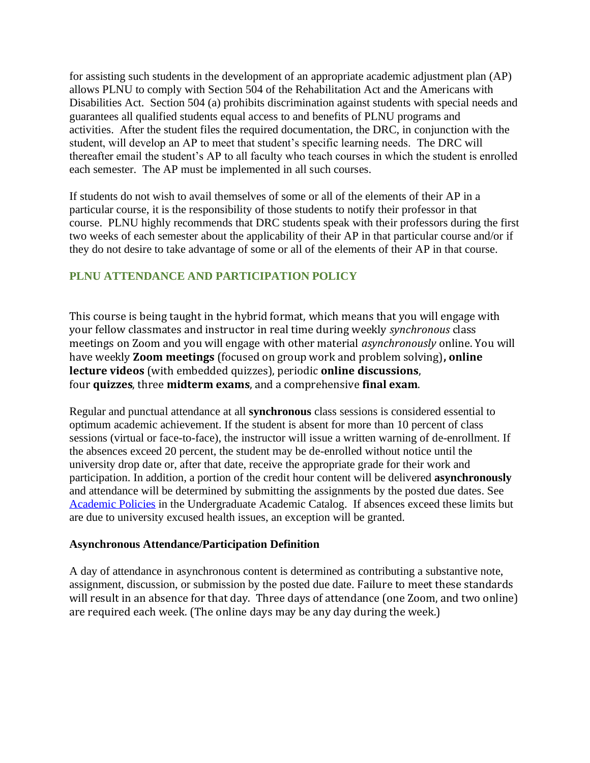for assisting such students in the development of an appropriate academic adjustment plan (AP) allows PLNU to comply with Section 504 of the Rehabilitation Act and the Americans with Disabilities Act. Section 504 (a) prohibits discrimination against students with special needs and guarantees all qualified students equal access to and benefits of PLNU programs and activities. After the student files the required documentation, the DRC, in conjunction with the student, will develop an AP to meet that student's specific learning needs. The DRC will thereafter email the student's AP to all faculty who teach courses in which the student is enrolled each semester. The AP must be implemented in all such courses.

If students do not wish to avail themselves of some or all of the elements of their AP in a particular course, it is the responsibility of those students to notify their professor in that course. PLNU highly recommends that DRC students speak with their professors during the first two weeks of each semester about the applicability of their AP in that particular course and/or if they do not desire to take advantage of some or all of the elements of their AP in that course.

# **PLNU ATTENDANCE AND PARTICIPATION POLICY**

This course is being taught in the hybrid format, which means that you will engage with your fellow classmates and instructor in real time during weekly *synchronous* class meetings on Zoom and you will engage with other material *asynchronously* online. You will have weekly **Zoom meetings** (focused on group work and problem solving)**, online lecture videos** (with embedded quizzes), periodic **online discussions**, four **quizzes**, three **midterm exams**, and a comprehensive **final exam**.

Regular and punctual attendance at all **synchronous** class sessions is considered essential to optimum academic achievement. If the student is absent for more than 10 percent of class sessions (virtual or face-to-face), the instructor will issue a written warning of de-enrollment. If the absences exceed 20 percent, the student may be de-enrolled without notice until the university drop date or, after that date, receive the appropriate grade for their work and participation. In addition, a portion of the credit hour content will be delivered **asynchronously** and attendance will be determined by submitting the assignments by the posted due dates. See [Academic Policies](https://catalog.pointloma.edu/content.php?catoid=46&navoid=2650#Class_Attendance) in the Undergraduate Academic Catalog. If absences exceed these limits but are due to university excused health issues, an exception will be granted.

#### **Asynchronous Attendance/Participation Definition**

A day of attendance in asynchronous content is determined as contributing a substantive note, assignment, discussion, or submission by the posted due date. Failure to meet these standards will result in an absence for that day. Three days of attendance (one Zoom, and two online) are required each week. (The online days may be any day during the week.)